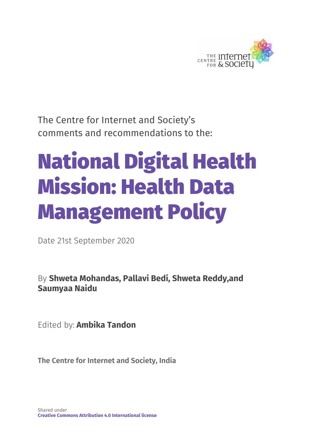

The Centre for Internet and Society's comments and recommendations to the:

# National Digital Health Mission: Health Data Management Policy

Date 21st September 2020

By **Shweta Mohandas, Pallavi Bedi, Shweta Reddy,and Saumyaa Naidu**

Edited by: **Ambika Tandon**

**The Centre for Internet and Society, India**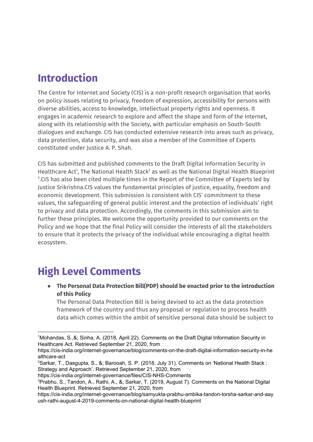# **Introduction**

The Centre for Internet and Society (CIS) is a non-profit research organisation that works on policy issues relating to privacy, freedom of expression, accessibility for persons with diverse abilities, access to knowledge, intellectual property rights and openness. It engages in academic research to explore and affect the shape and form of the Internet, along with its relationship with the Society, with particular emphasis on South-South dialogues and exchange. CIS has conducted extensive research into areas such as privacy, data protection, data security, and was also a member of the Committee of Experts constituted under Justice A. P. Shah.

CIS has submitted and published comments to the Draft Digital Information Security in Healthcare Act<sup>1</sup>, The National Health Stack<sup>2</sup> as well as the National Digital Health Blueprint  $3$ .CIS has also been cited multiple times in the Report of the Committee of Experts led by Justice Srikrishna.CIS values the fundamental principles of justice, equality, freedom and economic development. This submission is consistent with CIS' commitment to these values, the safeguarding of general public interest and the protection of individuals' right to privacy and data protection. Accordingly, the comments in this submission aim to further these principles. We welcome the opportunity provided to our comments on the Policy and we hope that the final Policy will consider the interests of all the stakeholders to ensure that it protects the privacy of the individual while encouraging a digital health ecosystem.

# **High Level Comments**

● **The Personal Data Protection Bill(PDP) should be enacted prior to the introduction of this Policy**

The Personal Data Protection Bill is being devised to act as the data protection framework of the country and thus any proposal or regulation to process health data which comes within the ambit of sensitive personal data should be subject to

```
https://cis-india.org/internet-governance/files/CIS-NHS-Comments
```
<sup>1</sup>Mohandas, S.,&; Sinha, A. (2018, April 22). Comments on the Draft Digital Information Security in Healthcare Act. Retrieved September 21, 2020, from

https://cis-india.org/internet-governance/blog/comments-on-the-draft-digital-information-security-in-he althcare-act

<sup>&</sup>lt;sup>2</sup>Sarkar, T., Dasgupta, S., &; Barooah, S. P. (2018, July 31). Comments on 'National Health Stack : Strategy and Approach'. Retrieved September 21, 2020, from

<sup>&</sup>lt;sup>3</sup>Prabhu, S., Tandon, A., Rathi, A., &; Sarkar, T. (2019, August 7). Comments on the National Digital Health Blueprint. Retrieved September 21, 2020, from

https://cis-india.org/internet-governance/blog/samyukta-prabhu-ambika-tandon-torsha-sarkar-and-aay ush-rathi-august-4-2019-comments-on-national-digital-health-blueprint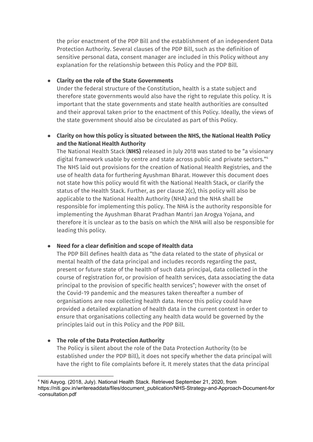the prior enactment of the PDP Bill and the establishment of an independent Data Protection Authority. Several clauses of the PDP Bill, such as the definition of sensitive personal data, consent manager are included in this Policy without any explanation for the relationship between this Policy and the PDP Bill.

#### ● **Clarity on the role of the State Governments**

Under the federal structure of the Constitution, health is a state subject and therefore state governments would also have the right to regulate this policy. It is important that the state governments and state health authorities are consulted and their approval taken prior to the enactment of this Policy. Ideally, the views of the state government should also be circulated as part of this Policy.

#### **● Clarity on how this policy is situated between the NHS, the National Health Policy and the National Health Authority**

The National Health Stack (**NHS)** released in July 2018 was stated to be "a visionary digital framework usable by centre and state across public and private sectors." 4 The NHS laid out provisions for the creation of National Health Registries, and the use of health data for furthering Ayushman Bharat. However this document does not state how this policy would fit with the National Health Stack, or clarify the status of the Health Stack. Further, as per clause 2(c), this policy will also be applicable to the National Health Authority (NHA) and the NHA shall be responsible for implementing this policy. The NHA is the authority responsible for implementing the Ayushman Bharat Pradhan Mantri Jan Arogya Yojana, and therefore it is unclear as to the basis on which the NHA will also be responsible for leading this policy.

#### **● Need for a clear definition and scope of Health data**

The PDP Bill defines health data as "the data related to the state of physical or mental health of the data principal and includes records regarding the past, present or future state of the health of such data principal, data collected in the course of registration for, or provision of health services, data associating the data principal to the provision of specific health services"; however with the onset of the Covid-19 pandemic and the measures taken thereafter a number of organisations are now collecting health data. Hence this policy could have provided a detailed explanation of health data in the current context in order to ensure that organisations collecting any health data would be governed by the principles laid out in this Policy and the PDP Bill.

#### **● The role of the Data Protection Authority**

The Policy is silent about the role of the Data Protection Authority (to be established under the PDP Bill), it does not specify whether the data principal will have the right to file complaints before it. It merely states that the data principal

<sup>4</sup> Niti Aayog. (2018, July). National Health Stack. Retrieved September 21, 2020, from https://niti.gov.in/writereaddata/files/document\_publication/NHS-Strategy-and-Approach-Document-for -consultation.pdf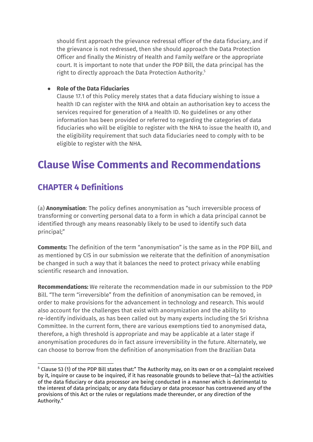should first approach the grievance redressal officer of the data fiduciary, and if the grievance is not redressed, then she should approach the Data Protection Officer and finally the Ministry of Health and Family welfare or the appropriate court. It is important to note that under the PDP Bill, the data principal has the right to directly approach the Data Protection Authority. 5

#### **● Role of the Data Fiduciaries**

Clause 17.1 of this Policy merely states that a data fiduciary wishing to issue a health ID can register with the NHA and obtain an authorisation key to access the services required for generation of a Health ID. No guidelines or any other information has been provided or referred to regarding the categories of data fiduciaries who will be eligible to register with the NHA to issue the health ID, and the eligibility requirement that such data fiduciaries need to comply with to be eligible to register with the NHA.

## **Clause Wise Comments and Recommendations**

## **CHAPTER 4 Definitions**

(a) **Anonymisation**: The policy defines anonymisation as "such irreversible process of transforming or converting personal data to a form in which a data principal cannot be identified through any means reasonably likely to be used to identify such data principal;"

**Comments:** The definition of the term "anonymisation" is the same as in the PDP Bill, and as mentioned by CIS in our submission we reiterate that the definition of anonymisation be changed in such a way that it balances the need to protect privacy while enabling scientific research and innovation.

**Recommendations:** We reiterate the recommendation made in our submission to the PDP Bill. "The term "irreversible" from the definition of anonymisation can be removed, in order to make provisions for the advancement in technology and research. This would also account for the challenges that exist with anonymization and the ability to re-identify individuals, as has been called out by many experts including the Sri Krishna Committee. In the current form, there are various exemptions tied to anonymised data, therefore, a high threshold is appropriate and may be applicable at a later stage if anonymisation procedures do in fact assure irreversibility in the future. Alternately, we can choose to borrow from the definition of anonymisation from the Brazilian Data

<sup>5</sup> Clause 53 (1) of the PDP Bill states that:" The Authority may, on its own or on a complaint received by it, inquire or cause to be inquired, if it has reasonable grounds to believe that—(a) the activities of the data fiduciary or data processor are being conducted in a manner which is detrimental to the interest of data principals; or any data fiduciary or data processor has contravened any of the provisions of this Act or the rules or regulations made thereunder, or any direction of the Authority."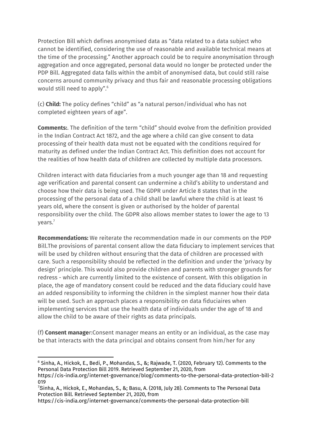Protection Bill which defines anonymised data as "data related to a data subject who cannot be identified, considering the use of reasonable and available technical means at the time of the processing." Another approach could be to require anonymisation through aggregation and once aggregated, personal data would no longer be protected under the PDP Bill. Aggregated data falls within the ambit of anonymised data, but could still raise concerns around community privacy and thus fair and reasonable processing obligations would still need to apply". 6

(c) **Child:** The policy defines "child" as "a natural person/individual who has not completed eighteen years of age".

**Comments:**. The definition of the term "child" should evolve from the definition provided in the Indian Contract Act 1872, and the age where a child can give consent to data processing of their health data must not be equated with the conditions required for maturity as defined under the Indian Contract Act. This definition does not account for the realities of how health data of children are collected by multiple data processors.

Children interact with data fiduciaries from a much younger age than 18 and requesting age verification and parental consent can undermine a child's ability to understand and choose how their data is being used. The GDPR under Article 8 states that in the processing of the personal data of a child shall be lawful where the child is at least 16 years old, where the consent is given or authorised by the holder of parental responsibility over the child. The GDPR also allows member states to lower the age to 13 years. 7

**Recommendations:** We reiterate the recommendation made in our comments on the PDP Bill.The provisions of parental consent allow the data fiduciary to implement services that will be used by children without ensuring that the data of children are processed with care. Such a responsibility should be reflected in the definition and under the 'privacy by design' principle. This would also provide children and parents with stronger grounds for redress - which are currently limited to the existence of consent. With this obligation in place, the age of mandatory consent could be reduced and the data fiduciary could have an added responsibility to informing the children in the simplest manner how their data will be used. Such an approach places a responsibility on data fiduciaires when implementing services that use the health data of individuals under the age of 18 and allow the child to be aware of their rights as data principals.

(f) **Consent manage**r:Consent manager means an entity or an individual, as the case may be that interacts with the data principal and obtains consent from him/her for any

<sup>6</sup> Sinha, A., Hickok, E., Bedi, P., Mohandas, S., &; Rajwade, T. (2020, February 12). Comments to the Personal Data Protection Bill 2019. Retrieved September 21, 2020, from

https://cis-india.org/internet-governance/blog/comments-to-the-personal-data-protection-bill-2 019

<sup>7</sup>Sinha, A., Hickok, E., Mohandas, S., &; Basu, A. (2018, July 28). Comments to The Personal Data Protection Bill. Retrieved September 21, 2020, from

https://cis-india.org/internet-governance/comments-the-personal-data-protection-bill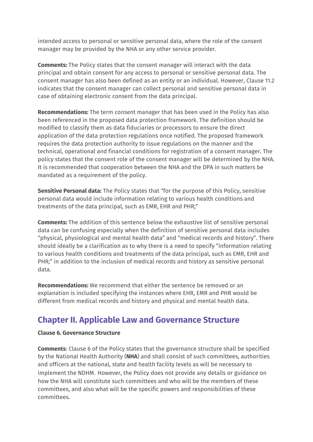intended access to personal or sensitive personal data, where the role of the consent manager may be provided by the NHA or any other service provider.

**Comments:** The Policy states that the consent manager will interact with the data principal and obtain consent for any access to personal or sensitive personal data. The consent manager has also been defined as an entity or an individual. However, Clause 11.2 indicates that the consent manager can collect personal and sensitive personal data in case of obtaining electronic consent from the data principal.

**Recommendations:** The term consent manager that has been used in the Policy has also been referenced in the proposed data protection framework. The definition should be modified to classify them as data fiduciaries or processors to ensure the direct application of the data protection regulations once notified. The proposed framework requires the data protection authority to issue regulations on the manner and the technical, operational and financial conditions for registration of a consent manager. The policy states that the consent role of the consent manager will be determined by the NHA. It is recommended that cooperation between the NHA and the DPA in such matters be mandated as a requirement of the policy.

**Sensitive Personal data:** The Policy states that "for the purpose of this Policy, sensitive personal data would include information relating to various health conditions and treatments of the data principal, such as EMR, EHR and PHR;"

**Comments:** The addition of this sentence below the exhaustive list of sensitive personal data can be confusing especially when the definition of sensitive personal data includes "physical, physiological and mental health data" and "medical records and history". There should ideally be a clarification as to why there is a need to specify "information relating to various health conditions and treatments of the data principal, such as EMR, EHR and PHR;" in addition to the inclusion of medical records and history as sensitive personal data.

**Recommendations:** We recommend that either the sentence be removed or an explanation is included specifying the instances where EHR, EMR and PHR would be different from medical records and history and physical and mental health data.

## **Chapter II. Applicable Law and Governance Structure**

#### **Clause 6. Governance Structure**

**Comments**: Clause 6 of the Policy states that the governance structure shall be specified by the National Health Authority (**NHA**) and shall consist of such committees, authorities and officers at the national, state and health facility levels as will be necessary to implement the NDHM. However, the Policy does not provide any details or guidance on how the NHA will constitute such committees and who will be the members of these committees, and also what will be the specific powers and responsibilities of these committees.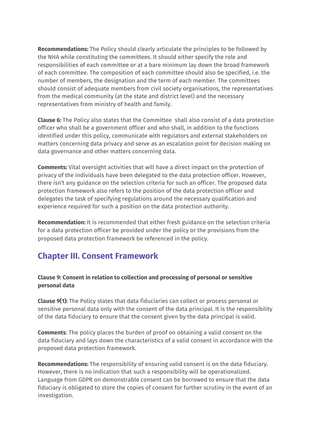**Recommendations:** The Policy should clearly articulate the principles to be followed by the NHA while constituting the committees. It should either specify the role and responsibilities of each committee or at a bare minimum lay down the broad framework of each committee. The composition of each committee should also be specified, i.e. the number of members, the designation and the term of each member. The committees should consist of adequate members from civil society organisations, the representatives from the medical community (at the state and district level) and the necessary representatives from ministry of health and family.

**Clause 6:** The Policy also states that the Committee shall also consist of a data protection officer who shall be a government officer and who shall, in addition to the functions identified under this policy, communicate with regulators and external stakeholders on matters concerning data privacy and serve as an escalation point for decision making on data governance and other matters concerning data.

**Comments:** Vital oversight activities that will have a direct impact on the protection of privacy of the individuals have been delegated to the data protection officer. However, there isn't any guidance on the selection criteria for such an officer. The proposed data protection framework also refers to the position of the data protection officer and delegates the task of specifying regulations around the necessary qualification and experience required for such a position on the data protection authority.

**Recommendation:** It is recommended that either fresh guidance on the selection criteria for a data protection officer be provided under the policy or the provisions from the proposed data protection framework be referenced in the policy.

## **Chapter III. Consent Framework**

#### **Clause 9: Consent in relation to collection and processing of personal or sensitive personal data**

**Clause 9(1):** The Policy states that data fiduciaries can collect or process personal or sensitive personal data only with the consent of the data principal. It is the responsibility of the data fiduciary to ensure that the consent given by the data principal is valid.

**Comments**: The policy places the burden of proof on obtaining a valid consent on the data fiduciary and lays down the characteristics of a valid consent in accordance with the proposed data protection framework.

**Recommendations:** The responsibility of ensuring valid consent is on the data fiduciary. However, there is no indication that such a responsibility will be operationalized. Language from GDPR on demonstrable consent can be borrowed to ensure that the data fiduciary is obligated to store the copies of consent for further scrutiny in the event of an investigation.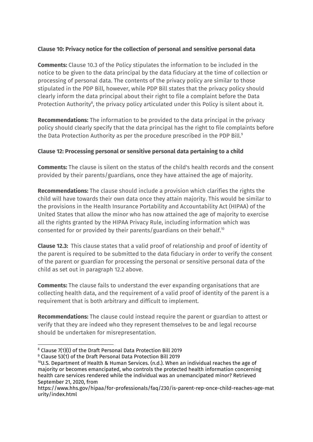#### **Clause 10: Privacy notice for the collection of personal and sensitive personal data**

**Comments:** Clause 10.3 of the Policy stipulates the information to be included in the notice to be given to the data principal by the data fiduciary at the time of collection or processing of personal data. The contents of the privacy policy are similar to those stipulated in the PDP Bill, however, while PDP Bill states that the privacy policy should clearly inform the data principal about their right to file a complaint before the Data Protection Authority $\delta$ , the privacy policy articulated under this Policy is silent about it.

**Recommendations:** The information to be provided to the data principal in the privacy policy should clearly specify that the data principal has the right to file complaints before the Data Protection Authority as per the procedure prescribed in the PDP Bill. 9

#### **Clause 12: Processing personal or sensitive personal data pertaining to a child**

**Comments:** The clause is silent on the status of the child's health records and the consent provided by their parents/guardians, once they have attained the age of majority.

**Recommendations:** The clause should include a provision which clarifies the rights the child will have towards their own data once they attain majority. This would be similar to the provisions in the Health Insurance Portability and Accountability Act (HIPAA) of the United States that allow the minor who has now attained the age of majority to exercise all the rights granted by the HIPAA Privacy Rule, including information which was consented for or provided by their parents/guardians on their behalf. 10

**Clause 12.3:** This clause states that a valid proof of relationship and proof of identity of the parent is required to be submitted to the data fiduciary in order to verify the consent of the parent or guardian for processing the personal or sensitive personal data of the child as set out in paragraph 12.2 above.

**Comments:** The clause fails to understand the ever expanding organisations that are collecting health data, and the requirement of a valid proof of identity of the parent is a requirement that is both arbitrary and difficult to implement.

**Recommendations:** The clause could instead require the parent or guardian to attest or verify that they are indeed who they represent themselves to be and legal recourse should be undertaken for misrepresentation.

<sup>8</sup> Clause 7(1)(l) of the Draft Personal Data Protection Bill 2019

<sup>9</sup> Clause 53(1) of the Draft Personal Data Protection Bill 2019

<sup>10</sup>U.S. Department of Health & Human Services. (n.d.). When an individual reaches the age of majority or becomes emancipated, who controls the protected health information concerning health care services rendered while the individual was an unemancipated minor? Retrieved September 21, 2020, from

https://www.hhs.gov/hipaa/for-professionals/faq/230/is-parent-rep-once-child-reaches-age-mat urity/index.html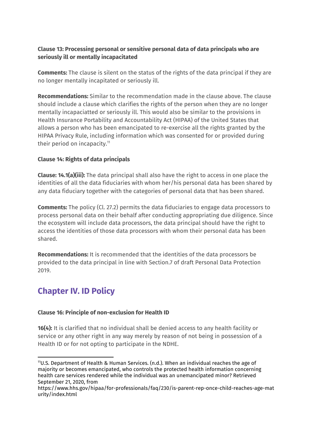#### **Clause 13: Processing personal or sensitive personal data of data principals who are seriously ill or mentally incapacitated**

**Comments:** The clause is silent on the status of the rights of the data principal if they are no longer mentally incapitated or seriously ill.

**Recommendations:** Similar to the recommendation made in the clause above. The clause should include a clause which clarifies the rights of the person when they are no longer mentally incapaciatted or seriously ill. This would also be similar to the provisions in Health Insurance Portability and Accountability Act (HIPAA) of the United States that allows a person who has been emancipated to re-exercise all the rights granted by the HIPAA Privacy Rule, including information which was consented for or provided during their period on incapacity. 11

#### **Clause 14: Rights of data principals**

**Clause: 14.1(a)(iii):** The data principal shall also have the right to access in one place the identities of all the data fiduciaries with whom her/his personal data has been shared by any data fiduciary together with the categories of personal data that has been shared.

**Comments:** The policy (Cl. 27.2) permits the data fiduciaries to engage data processors to process personal data on their behalf after conducting appropriating due diligence. Since the ecosystem will include data processors, the data principal should have the right to access the identities of those data processors with whom their personal data has been shared.

**Recommendations:** It is recommended that the identities of the data processors be provided to the data principal in line with Section.7 of draft Personal Data Protection 2019.

## **Chapter IV. ID Policy**

#### **Clause 16: Principle of non-exclusion for Health ID**

**16(4):** It is clarified that no individual shall be denied access to any health facility or service or any other right in any way merely by reason of not being in possession of a Health ID or for not opting to participate in the NDHE.

<sup>11</sup>U.S. Department of Health & Human Services. (n.d.). When an individual reaches the age of majority or becomes emancipated, who controls the protected health information concerning health care services rendered while the individual was an unemancipated minor? Retrieved September 21, 2020, from

https://www.hhs.gov/hipaa/for-professionals/faq/230/is-parent-rep-once-child-reaches-age-mat urity/index.html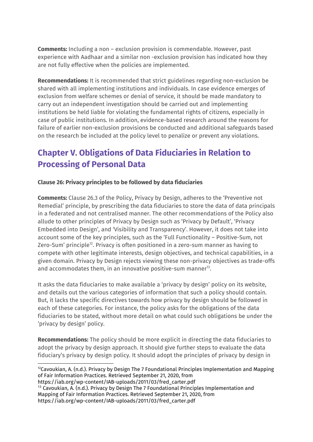**Comments:** Including a non – exclusion provision is commendable. However, past experience with Aadhaar and a similar non -exclusion provision has indicated how they are not fully effective when the policies are implemented.

**Recommendations:** It is recommended that strict guidelines regarding non-exclusion be shared with all implementing institutions and individuals. In case evidence emerges of exclusion from welfare schemes or denial of service, it should be made mandatory to carry out an independent investigation should be carried out and implementing institutions be held liable for violating the fundamental rights of citizens, especially in case of public institutions. In addition, evidence-based research around the reasons for failure of earlier non-exclusion provisions be conducted and additional safeguards based on the research be included at the policy level to penalize or prevent any violations.

## **Chapter V. Obligations of Data Fiduciaries in Relation to Processing of Personal Data**

#### **Clause 26: Privacy principles to be followed by data fiduciaries**

**Comments:** Clause 26.3 of the Policy, Privacy by Design, adheres to the 'Preventive not Remedial' principle, by prescribing the data fiduciaries to store the data of data principals in a federated and not centralised manner. The other recommendations of the Policy also allude to other principles of Privacy by Design such as 'Privacy by Default', 'Privacy Embedded into Design', and 'Visibility and Transparency'. However, it does not take into account some of the key principles, such as the 'Full Functionality – Positive-Sum, not Zero-Sum' principle $^{12}$ . Privacy is often positioned in a zero-sum manner as having to compete with other legitimate interests, design objectives, and technical capabilities, in a given domain. Privacy by Design rejects viewing these non-privacy objectives as trade-offs and accommodates them, in an innovative positive-sum manner $^{13}$ .

It asks the data fiduciaries to make available a 'privacy by design' policy on its website, and details out the various categories of information that such a policy should contain. But, it lacks the specific directives towards how privacy by design should be followed in each of these categories. For instance, the policy asks for the obligations of the data fiduciaries to be stated, without more detail on what could such obligations be under the 'privacy by design' policy.

**Recommendations:** The policy should be more explicit in directing the data fiduciaries to adopt the privacy by design approach. It should give further steps to evaluate the data fiduciary's privacy by design policy. It should adopt the principles of privacy by design in

https://iab.org/wp-content/IAB-uploads/2011/03/fred\_carter.pdf

<sup>13</sup> Cavoukian, A. (n.d.). Privacy by Design The 7 Foundational Principles Implementation and Mapping of Fair Information Practices. Retrieved September 21, 2020, from https://iab.org/wp-content/IAB-uploads/2011/03/fred\_carter.pdf

 $12$ Cavoukian, A. (n.d.). Privacy by Design The 7 Foundational Principles Implementation and Mapping of Fair Information Practices. Retrieved September 21, 2020, from